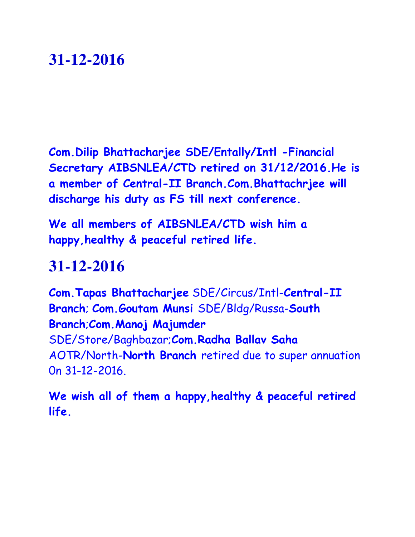**Com.Dilip Bhattacharjee SDE/Entally/Intl -Financial Secretary AIBSNLEA/CTD retired on 31/12/2016.He is a member of Central-II Branch.Com.Bhattachrjee will discharge his duty as FS till next conference.**

**We all members of AIBSNLEA/CTD wish him a happy,healthy & peaceful retired life.**

#### **31-12-2016**

**Com.Tapas Bhattacharjee** SDE/Circus/Intl-**Central-II Branch**; **Com.Goutam Munsi** SDE/Bldg/Russa-**South Branch**;**Com.Manoj Majumder**  SDE/Store/Baghbazar;**Com.Radha Ballav Saha**  AOTR/North-**North Branch** retired due to super annuation 0n 31-12-2016.

**We wish all of them a happy,healthy & peaceful retired life.**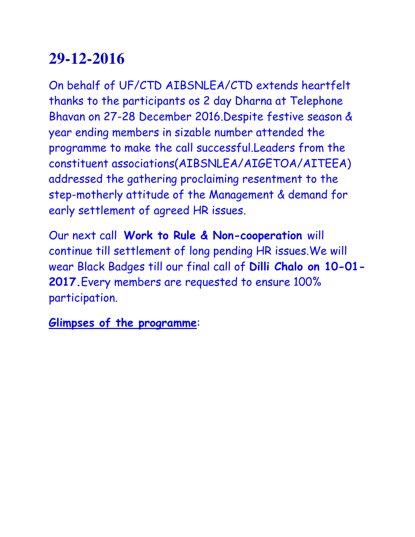On behalf of UF/CTD AIBSNLEA/CTD extends heartfelt thanks to the participants os 2 day Dharna at Telephone Bhavan on 27-28 December 2016.Despite festive season & year ending members in sizable number attended the programme to make the call successful.Leaders from the constituent associations(AIBSNLEA/AIGETOA/AITEEA) addressed the gathering proclaiming resentment to the step-motherly attitude of the Management & demand for early settlement of agreed HR issues.

Our next call **Work to Rule & Non-cooperation** will continue till settlement of long pending HR issues.We will wear Black Badges till our final call of **Dilli Chalo on 10-01- 2017.**Every members are requested to ensure 100% participation.

**Glimpses of the programme**: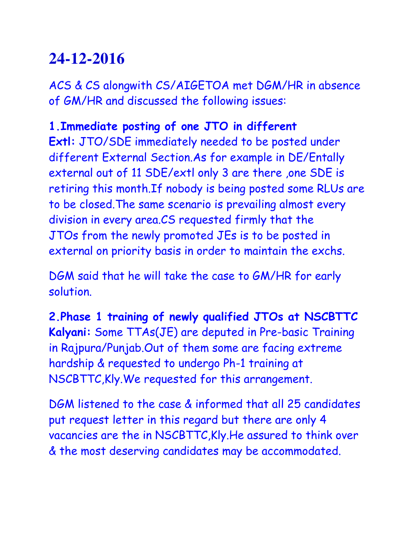ACS & CS alongwith CS/AIGETOA met DGM/HR in absence of GM/HR and discussed the following issues:

#### **1.Immediate posting of one JTO in different**

**Extl:** JTO/SDE immediately needed to be posted under different External Section.As for example in DE/Entally external out of 11 SDE/extl only 3 are there ,one SDE is retiring this month.If nobody is being posted some RLUs are to be closed.The same scenario is prevailing almost every division in every area.CS requested firmly that the JTOs from the newly promoted JEs is to be posted in external on priority basis in order to maintain the exchs.

DGM said that he will take the case to GM/HR for early solution.

**2.Phase 1 training of newly qualified JTOs at NSCBTTC Kalyani:** Some TTAs(JE) are deputed in Pre-basic Training in Rajpura/Punjab.Out of them some are facing extreme hardship & requested to undergo Ph-1 training at NSCBTTC,Kly.We requested for this arrangement.

DGM listened to the case & informed that all 25 candidates put request letter in this regard but there are only 4 vacancies are the in NSCBTTC,Kly.He assured to think over & the most deserving candidates may be accommodated.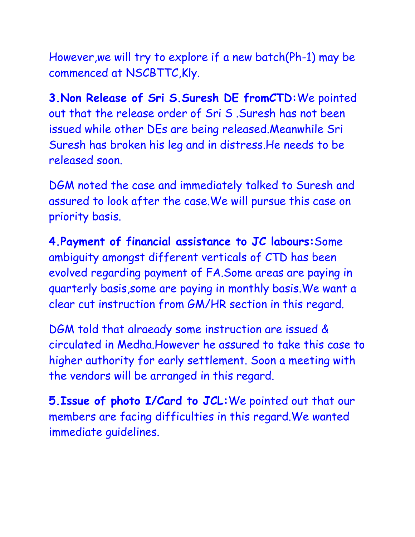However,we will try to explore if a new batch(Ph-1) may be commenced at NSCBTTC,Kly.

**3.Non Release of Sri S.Suresh DE fromCTD:**We pointed out that the release order of Sri S .Suresh has not been issued while other DEs are being released.Meanwhile Sri Suresh has broken his leg and in distress.He needs to be released soon.

DGM noted the case and immediately talked to Suresh and assured to look after the case.We will pursue this case on priority basis.

**4.Payment of financial assistance to JC labours:**Some ambiguity amongst different verticals of CTD has been evolved regarding payment of FA.Some areas are paying in quarterly basis,some are paying in monthly basis.We want a clear cut instruction from GM/HR section in this regard.

DGM told that alraeady some instruction are issued & circulated in Medha.However he assured to take this case to higher authority for early settlement. Soon a meeting with the vendors will be arranged in this regard.

**5.Issue of photo I/Card to JCL:**We pointed out that our members are facing difficulties in this regard.We wanted immediate guidelines.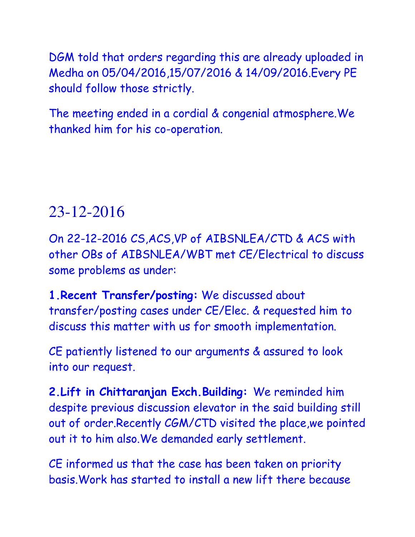DGM told that orders regarding this are already uploaded in Medha on 05/04/2016,15/07/2016 & 14/09/2016.Every PE should follow those strictly.

The meeting ended in a cordial & congenial atmosphere.We thanked him for his co-operation.

#### 23-12-2016

On 22-12-2016 CS,ACS,VP of AIBSNLEA/CTD & ACS with other OBs of AIBSNLEA/WBT met CE/Electrical to discuss some problems as under:

**1.Recent Transfer/posting:** We discussed about transfer/posting cases under CE/Elec. & requested him to discuss this matter with us for smooth implementation.

CE patiently listened to our arguments & assured to look into our request.

**2.Lift in Chittaranjan Exch.Building:** We reminded him despite previous discussion elevator in the said building still out of order.Recently CGM/CTD visited the place,we pointed out it to him also.We demanded early settlement.

CE informed us that the case has been taken on priority basis.Work has started to install a new lift there because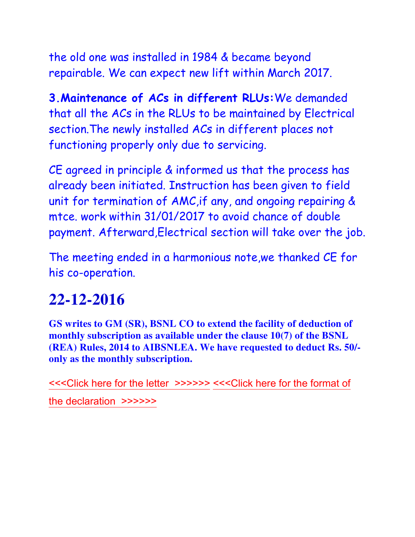the old one was installed in 1984 & became beyond repairable. We can expect new lift within March 2017.

**3.Maintenance of ACs in different RLUs:**We demanded that all the ACs in the RLUs to be maintained by Electrical section.The newly installed ACs in different places not functioning properly only due to servicing.

CE agreed in principle & informed us that the process has already been initiated. Instruction has been given to field unit for termination of AMC,if any, and ongoing repairing & mtce. work within 31/01/2017 to avoid chance of double payment. Afterward,Electrical section will take over the job.

The meeting ended in a harmonious note,we thanked CE for his co-operation.

#### **22-12-2016**

**GS writes to GM (SR), BSNL CO to extend the facility of deduction of monthly subscription as available under the clause 10(7) of the BSNL (REA) Rules, 2014 to AIBSNLEA. We have requested to deduct Rs. 50/ only as the monthly subscription.**

[<<<Click here for the letter >>>>>>](http://www.aibsnleachq.in/GMSR_SUBS_161222.pdf) [<<<Click here for the format of](http://www.aibsnleachq.in/staff1.PDF)  [the declaration >>>>>>](http://www.aibsnleachq.in/staff1.PDF)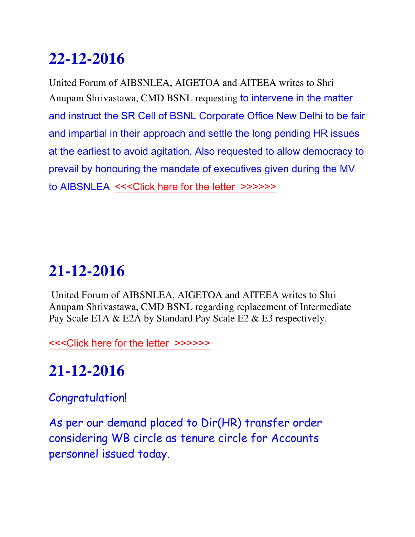United Forum of AIBSNLEA, AIGETOA and AITEEA writes to Shri Anupam Shrivastawa, CMD BSNL requesting to intervene in the matter and instruct the SR Cell of BSNL Corporate Office New Delhi to be fair and impartial in their approach and settle the long pending HR issues at the earliest to avoid agitation. Also requested to allow democracy to prevail by honouring the mandate of executives given during the MV to AIBSNLEA [<<<Click here for the letter >>>>>>](http://www.aibsnleachq.in/jablpur.PDF)>

# **21-12-2016**

United Forum of AIBSNLEA, AIGETOA and AITEEA writes to Shri Anupam Shrivastawa, CMD BSNL regarding replacement of Intermediate Pay Scale E1A & E2A by Standard Pay Scale E2 & E3 respectively.

[<<<Click here for the letter >>>>>>](http://www.aibsnleachq.in/UF_161221.PDF)

# **21-12-2016**

#### Congratulation!

As per our demand placed to Dir(HR) transfer order considering WB circle as tenure circle for Accounts personnel issued today.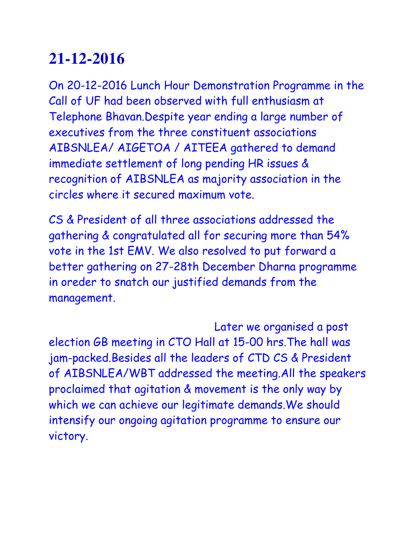On 20-12-2016 Lunch Hour Demonstration Programme in the Call of UF had been observed with full enthusiasm at Telephone Bhavan.Despite year ending a large number of executives from the three constituent associations AIBSNLEA/ AIGETOA / AITEEA gathered to demand immediate settlement of long pending HR issues & recognition of AIBSNLEA as majority association in the circles where it secured maximum vote.

CS & President of all three associations addressed the gathering & congratulated all for securing more than 54% vote in the 1st EMV. We also resolved to put forward a better gathering on 27-28th December Dharna programme in oreder to snatch our justified demands from the management.

 Later we organised a post election GB meeting in CTO Hall at 15-00 hrs.The hall was jam-packed.Besides all the leaders of CTD CS & President of AIBSNLEA/WBT addressed the meeting.All the speakers proclaimed that agitation & movement is the only way by which we can achieve our legitimate demands.We should intensify our ongoing agitation programme to ensure our victory.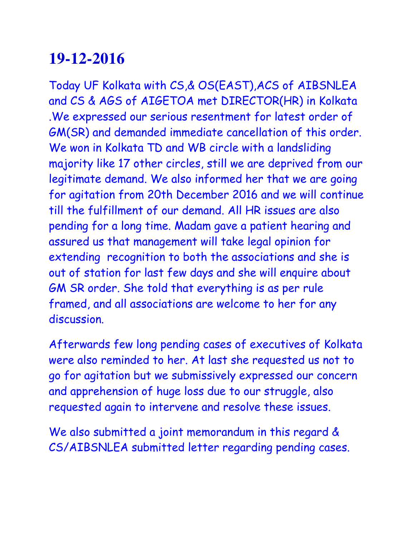Today UF Kolkata with CS,& OS(EAST),ACS of AIBSNLEA and CS & AGS of AIGETOA met DIRECTOR(HR) in Kolkata .We expressed our serious resentment for latest order of GM(SR) and demanded immediate cancellation of this order. We won in Kolkata TD and WB circle with a landsliding majority like 17 other circles, still we are deprived from our legitimate demand. We also informed her that we are going for agitation from 20th December 2016 and we will continue till the fulfillment of our demand. All HR issues are also pending for a long time. Madam gave a patient hearing and assured us that management will take legal opinion for extending recognition to both the associations and she is out of station for last few days and she will enquire about GM SR order. She told that everything is as per rule framed, and all associations are welcome to her for any discussion.

Afterwards few long pending cases of executives of Kolkata were also reminded to her. At last she requested us not to go for agitation but we submissively expressed our concern and apprehension of huge loss due to our struggle, also requested again to intervene and resolve these issues.

We also submitted a joint memorandum in this regard & CS/AIBSNLEA submitted letter regarding pending cases.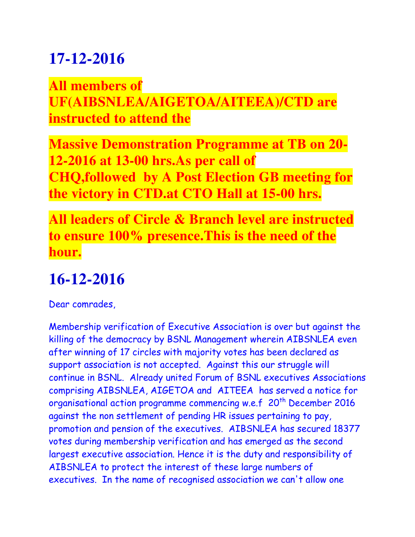**All members of UF(AIBSNLEA/AIGETOA/AITEEA)/CTD are instructed to attend the**

**Massive Demonstration Programme at TB on 20- 12-2016 at 13-00 hrs.As per call of CHQ,followed by A Post Election GB meeting for the victory in CTD.at CTO Hall at 15-00 hrs.**

**All leaders of Circle & Branch level are instructed to ensure 100% presence.This is the need of the hour.**

### **16-12-2016**

Dear comrades,

Membership verification of Executive Association is over but against the killing of the democracy by BSNL Management wherein AIBSNLEA even after winning of 17 circles with majority votes has been declared as support association is not accepted. Against this our struggle will continue in BSNL. Already united Forum of BSNL executives Associations comprising AIBSNLEA, AIGETOA and AITEEA has served a notice for organisational action programme commencing w.e.f 20<sup>th</sup> December 2016 against the non settlement of pending HR issues pertaining to pay, promotion and pension of the executives. AIBSNLEA has secured 18377 votes during membership verification and has emerged as the second largest executive association. Hence it is the duty and responsibility of AIBSNLEA to protect the interest of these large numbers of executives. In the name of recognised association we can't allow one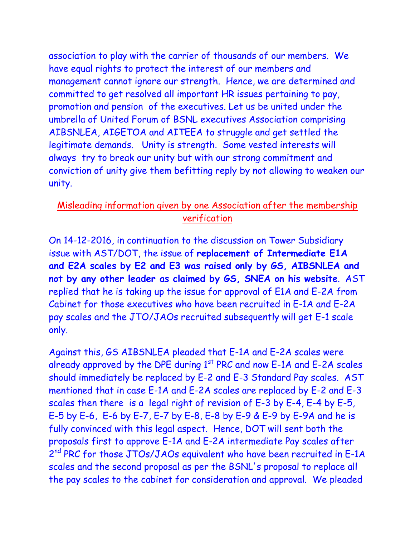association to play with the carrier of thousands of our members. We have equal rights to protect the interest of our members and management cannot ignore our strength. Hence, we are determined and committed to get resolved all important HR issues pertaining to pay, promotion and pension of the executives. Let us be united under the umbrella of United Forum of BSNL executives Association comprising AIBSNLEA, AIGETOA and AITEEA to struggle and get settled the legitimate demands. Unity is strength. Some vested interests will always try to break our unity but with our strong commitment and conviction of unity give them befitting reply by not allowing to weaken our unity.

#### Misleading information given by one Association after the membership verification

On 14-12-2016, in continuation to the discussion on Tower Subsidiary issue with AST/DOT, the issue of **replacement of Intermediate E1A and E2A scales by E2 and E3 was raised only by GS, AIBSNLEA and not by any other leader as claimed by GS, SNEA on his website**. AST replied that he is taking up the issue for approval of E1A and E-2A from Cabinet for those executives who have been recruited in E-1A and E-2A pay scales and the JTO/JAOs recruited subsequently will get E-1 scale only.

Against this, GS AIBSNLEA pleaded that E-1A and E-2A scales were already approved by the DPE during  $1<sup>st</sup> PRC$  and now E-1A and E-2A scales should immediately be replaced by E-2 and E-3 Standard Pay scales. AST mentioned that in case E-1A and E-2A scales are replaced by E-2 and E-3 scales then there is a legal right of revision of E-3 by E-4, E-4 by E-5, E-5 by E-6, E-6 by E-7, E-7 by E-8, E-8 by E-9 & E-9 by E-9A and he is fully convinced with this legal aspect. Hence, DOT will sent both the proposals first to approve E-1A and E-2A intermediate Pay scales after 2<sup>nd</sup> PRC for those JTOs/JAOs equivalent who have been recruited in E-1A scales and the second proposal as per the BSNL's proposal to replace all the pay scales to the cabinet for consideration and approval. We pleaded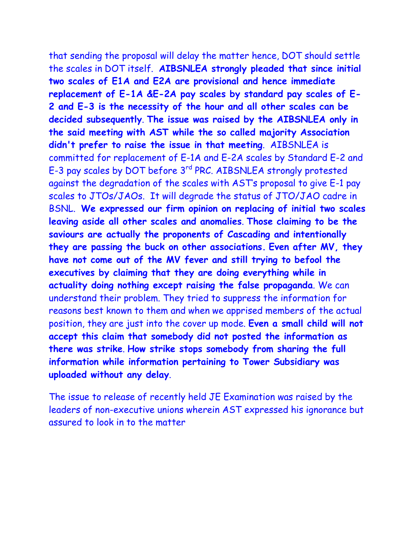that sending the proposal will delay the matter hence, DOT should settle the scales in DOT itself. **AIBSNLEA strongly pleaded that since initial two scales of E1A and E2A are provisional and hence immediate replacement of E-1A &E-2A pay scales by standard pay scales of E-2 and E-3 is the necessity of the hour and all other scales can be decided subsequently**. **The issue was raised by the AIBSNLEA only in the said meeting with AST while the so called majority Association didn't prefer to raise the issue in that meeting**. AIBSNLEA is committed for replacement of E-1A and E-2A scales by Standard E-2 and E-3 pay scales by DOT before 3rd PRC. AIBSNLEA strongly protested against the degradation of the scales with AST's proposal to give E-1 pay scales to JTOs/JAOs. It will degrade the status of JTO/JAO cadre in BSNL. **We expressed our firm opinion on replacing of initial two scales leaving aside all other scales and anomalies**. **Those claiming to be the saviours are actually the proponents of Cascading and intentionally they are passing the buck on other associations. Even after MV, they have not come out of the MV fever and still trying to befool the executives by claiming that they are doing everything while in actuality doing nothing except raising the false propaganda**. We can understand their problem. They tried to suppress the information for reasons best known to them and when we apprised members of the actual position, they are just into the cover up mode. **Even a small child will not accept this claim that somebody did not posted the information as there was strike**. **How strike stops somebody from sharing the full information while information pertaining to Tower Subsidiary was uploaded without any delay**.

The issue to release of recently held JE Examination was raised by the leaders of non-executive unions wherein AST expressed his ignorance but assured to look in to the matter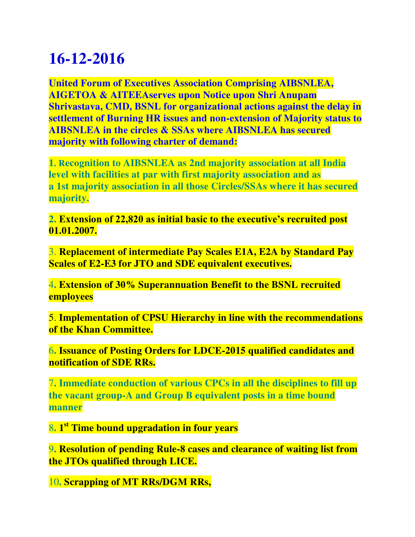**United Forum of Executives Association Comprising AIBSNLEA, AIGETOA & AITEEAserves upon Notice upon Shri Anupam Shrivastava, CMD, BSNL for organizational actions against the delay in settlement of Burning HR issues and non-extension of Majority status to AIBSNLEA in the circles & SSAs where AIBSNLEA has secured majority with following charter of demand:**

**1. Recognition to AIBSNLEA as 2nd majority association at all India level with facilities at par with first majority association and as a 1st majority association in all those Circles/SSAs where it has secured majority.**

**2. Extension of 22,820 as initial basic to the executive's recruited post 01.01.2007.**

3. **Replacement of intermediate Pay Scales E1A, E2A by Standard Pay Scales of E2-E3 for JTO and SDE equivalent executives.**

4**. Extension of 30% Superannuation Benefit to the BSNL recruited employees**

5. **Implementation of CPSU Hierarchy in line with the recommendations of the Khan Committee.**

6**. Issuance of Posting Orders for LDCE-2015 qualified candidates and notification of SDE RRs.**

7**. Immediate conduction of various CPCs in all the disciplines to fill up the vacant group-A and Group B equivalent posts in a time bound manner**

8**. 1 st Time bound upgradation in four years**

9**. Resolution of pending Rule-8 cases and clearance of waiting list from the JTOs qualified through LICE.**

10**. Scrapping of MT RRs/DGM RRs,**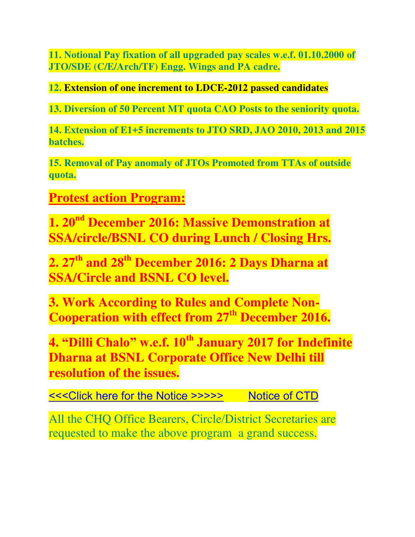**11. Notional Pay fixation of all upgraded pay scales w.e.f. 01.10.2000 of JTO/SDE (C/E/Arch/TF) Engg. Wings and PA cadre.**

**12. Extension of one increment to LDCE-2012 passed candidates**

**13. Diversion of 50 Percent MT quota CAO Posts to the seniority quota.**

**14. Extension of E1+5 increments to JTO SRD, JAO 2010, 2013 and 2015 batches.**

**15. Removal of Pay anomaly of JTOs Promoted from TTAs of outside quota.**

**Protest action Program:**

**1. 20nd December 2016: Massive Demonstration at SSA/circle/BSNL CO during Lunch / Closing Hrs.**

**2. 27th and 28th December 2016: 2 Days Dharna at SSA/Circle and BSNL CO level.**

**3. Work According to Rules and Complete Non-Cooperation with effect from 27th December 2016.**

**4. "Dilli Chalo" w.e.f. 10th January 2017 for Indefinite Dharna at BSNL Corporate Office New Delhi till resolution of the issues.**

[<<<Click here for the Notice >>>>>](http://www.aibsnleachq.in/Notice_161215.PDF) Notice of CTD

All the CHQ Office Bearers, Circle/District Secretaries are requested to make the above program a grand success.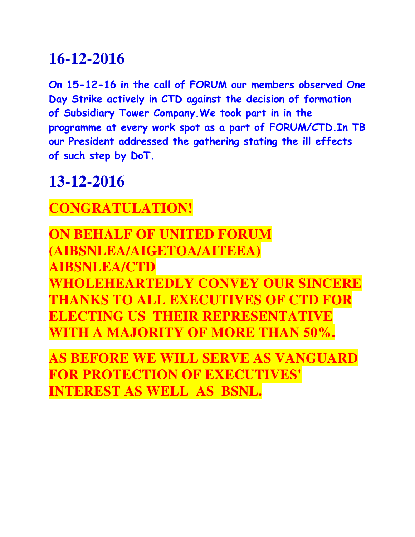**On 15-12-16 in the call of FORUM our members observed One Day Strike actively in CTD against the decision of formation of Subsidiary Tower Company.We took part in in the programme at every work spot as a part of FORUM/CTD.In TB our President addressed the gathering stating the ill effects of such step by DoT.**

#### **13-12-2016**

#### **CONGRATULATION!**

**ON BEHALF OF UNITED FORUM (AIBSNLEA/AIGETOA/AITEEA) AIBSNLEA/CTD WHOLEHEARTEDLY CONVEY OUR SINCERE THANKS TO ALL EXECUTIVES OF CTD FOR ELECTING US THEIR REPRESENTATIVE WITH A MAJORITY OF MORE THAN 50%.**

**AS BEFORE WE WILL SERVE AS VANGUARD FOR PROTECTION OF EXECUTIVES' INTEREST AS WELL AS BSNL.**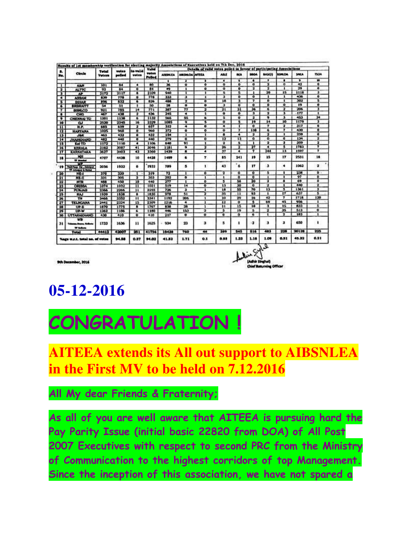| л.                             | <b>Circle</b>                                | <b>Total</b><br><b>Voters</b> | votes<br>polled | to valid<br>votes       | <b>Valid</b><br><b>Votes</b><br>Police | Details of valid votes polici in favour of participating Associations |                         |                         |                  |                         |                |                          |                         |                         |                      |
|--------------------------------|----------------------------------------------|-------------------------------|-----------------|-------------------------|----------------------------------------|-----------------------------------------------------------------------|-------------------------|-------------------------|------------------|-------------------------|----------------|--------------------------|-------------------------|-------------------------|----------------------|
| No.                            |                                              |                               |                 |                         |                                        | <b>ALBISHEEA</b>                                                      | <b>MESILOA MITEA</b>    |                         | <b>ABLE</b>      | MÁ                      | <b>BBOA</b>    | BASEIG                   | <b>SSNLOA</b>           | <b>SAILA</b>            | <b>150A</b>          |
|                                |                                              |                               |                 |                         |                                        | ٠                                                                     | 1                       |                         | ٠                |                         | ٠              | ٠                        | ٠                       | ٠                       | m                    |
| ℸ                              | <b>AAM</b>                                   | 101                           | 64              | ٠                       | <b>RO</b>                              | $\overline{\mathbf{x}}$                                               | ö                       | ۰                       | õ                | ō                       | ā              | π                        | $\overline{0}$          | $\bullet$               | $\bullet$            |
| $\overline{\mathbf{r}}$        | <b>ALTTC</b>                                 | $\overline{92}$               | 84              | $\overline{\bullet}$    | $\overline{1}$                         | $\bullet$                                                             | 1                       | $\bullet$               | ۰                | ۰                       | 2              | 2                        | 1                       | 29                      | ۰                    |
| ு                              | <b>AP</b>                                    | 2172                          | 2117            | ∎                       | 2109                                   | 940                                                                   | ٦                       | т                       | s                |                         |                | 20                       | $\overline{15}$         | 1118                    |                      |
| $\bullet$                      | <b>ASSAM</b>                                 | 839                           | 778             | ۰                       | 778                                    | ut                                                                    | з                       |                         | э                | o                       | ۰              | т                        | $\mathbf{r}$            | $\overline{\mathbf{a}}$ | ۰                    |
| $\overline{\phantom{a}}$       | <b>BIHAR</b>                                 | 896                           | स्त्र           | т                       | 826                                    | 488                                                                   | Ŧ                       | ō                       | <b>IA</b>        | л                       | Τ              | ö                        | т                       | 302                     | 3                    |
| 76                             | <b>BRSRAITT</b>                              | $\overline{\mathbf{34}}$      | 51              | т                       | 50                                     | 28                                                                    | ۰                       | ۰                       | э                | $\bullet$               | e.             | ö                        | $\overline{\mathbf{o}}$ | 19                      | ۰                    |
| $\mathcal{F}$                  | <b>RSMLCO</b>                                | 921                           | 785             | й                       | $n_{1}$                                | 347                                                                   | 77                      | π                       | $\overline{21}$  | ы                       | ×              | ٠                        | 7                       | 206                     | э                    |
| $\overline{\phantom{a}}$       | CHG.                                         | 467                           | 438             | э                       | 436                                    | 345                                                                   | ٠                       | ı                       | ۰                | ō                       | т              | $\overline{\mathbf{a}}$  | 1                       | 177                     | ٠                    |
| $\bullet$                      | CHENNAI TD                                   | 1201                          | 1138            | ٠                       | 1132                                   | 365                                                                   | 55                      | ٠                       | ъ                | $\bullet$               | $\bullet$      | ۰                        | з                       | 453                     | $\overline{34}$      |
| 10                             | <b>u</b>                                     | 2520                          | 2345            | ш                       | 2329                                   | 1085                                                                  | $\overline{\bullet}$    | 3                       | $\bullet$        |                         | ٦s             | $\overline{14}$          | 10                      | 1179                    | т                    |
| $\overline{11}$                | H.P.                                         | 685                           | 659             | э                       | 657                                    | 322                                                                   | ٠                       | o                       | ٠                |                         | $\bullet$      | Ŧ                        | 2                       | 317                     | e                    |
| $\overline{12}$                | <b>HARYANA</b>                               | 1025                          | <b>MA</b>       | ۰                       | 960                                    | 372                                                                   | $\bullet$               | ۰                       | ö                | 7                       | 138            | Ŧ.                       | 7                       | 430                     | a                    |
| $\overline{B}$                 | <b>JAK</b>                                   | 463                           | 433             | ۰                       | 433                                    | 154                                                                   | $\overline{\mathbf{1}}$ | Ŧ                       | $\bullet$        | ٠                       | э              | $\overline{\mathbf{r}}$  | Ŧ                       | 259                     | $\overline{\bullet}$ |
| $\overline{14}$                | <b>JHARKHAND</b>                             | 482                           | 440             | Ŧ                       | 440                                    | 779                                                                   | $\overline{\mathbf{a}}$ | ō                       | 12               | π                       | e.             | ō                        | ō                       | 134                     | п                    |
| 15                             | Kel TD                                       | 1172                          | 1110            | ٠                       | 1106                                   | 640                                                                   | 91                      | 1                       | 2                | х                       | T              | 3                        | э                       | 359                     | з                    |
| $\overline{16}$                | <b>KERALA</b>                                | 3162                          | 3087            | ग                       | 3046                                   | 1181                                                                  | 9                       | 2                       | 96               | 9                       | Ħ              | $\overline{\phantom{a}}$ | 3                       | 1783                    | ,                    |
| $\mathbf{u}$                   | <b>KARNATAKA</b>                             | 3627                          | 3403            | $\overline{\mathbf{a}}$ | <b>DAKE</b>                            | 1439                                                                  | Ŧ                       | Ŧ                       | 37               | ٠                       | Ŧ              | 244                      | в                       | 1597                    | Ŧ                    |
| 18                             | <b>NH</b><br><b>TT Manhai</b>                | 4707                          | 4438            | 10                      | 4428                                   | 1489                                                                  | 6                       | Ŧ                       | 85               | 241                     | 19             | 15                       | 17                      | 2531                    | 18                   |
| 19                             | WF<br>Taking to minor<br>17 Johnson & Mother | 2056                          | 1932            | ۰                       | 1932                                   | 789                                                                   | в                       | г.                      | 43               | δ.                      | 17             | a                        | ۰                       | 1062                    | 2                    |
| 20                             | NE-1                                         | 370                           | 320             |                         | 319                                    | 72                                                                    | ı                       | ۰                       | 2                | $\mathbf{o}$            | $\mathbf o$    | 5                        |                         | 236                     | $\mathbf{a}$ .       |
| $\overline{\mathbf{H}}$        | NE-II                                        | 331                           | 305             | э                       | 303                                    | 202                                                                   | $\ddot{\mathbf{a}}$     | ı                       | п                | $\overline{\mathbf{0}}$ | $\overline{0}$ | ı                        | т                       | 97                      | ā                    |
| 22                             | <b>MTR</b>                                   | 488                           | 450             | 10                      | 440                                    | $\overline{277}$                                                      | ı                       | ۰                       | в                | 58                      | 30             | a                        | ٠                       | 69                      | a                    |
| $\overline{\mathbf{v}}$        | <b>ORISSA</b>                                | 1074                          | 1032            | π                       | 1091                                   | 519                                                                   | $\overline{14}$         | õ                       | n                | 70                      | $\sigma$       | ä                        | ï                       | 440                     | Ŧ                    |
| 94                             | <b>PUNJAR</b>                                | 2366                          | 2266            | $\overline{\mathbf{u}}$ | 2255                                   | 726                                                                   | т                       | ı                       | $\overline{10}$  | 55                      | TO.            | $\overline{13}$          | 3                       | 1361                    | ,                    |
| 25 <sub>1</sub>                | <b>RAJ</b>                                   | 1939                          | 1838            | т                       | $-1830$                                | 978                                                                   | 51                      | Ŧ                       | 35               | -11                     | $\overline{u}$ |                          | π                       | 637                     | 5                    |
| 26                             | TМ                                           | 3466                          | 3352            | π                       | 3341                                   | 1192                                                                  | 206                     | 1                       | 10               | 29                      | 16             | 42                       | 7                       | 1718                    | 120                  |
| $\overline{17}$                | TELNGANA                                     | 2441                          | 2324            | 15                      | 2309                                   | 1216                                                                  | ٠                       | ٠                       | $\boldsymbol{u}$ | ۰                       | -5             | $\overline{49}$          | 45                      | 936                     |                      |
| 34                             | UP-E                                         | 1870                          | 1775            | ٠                       | 1767                                   | 838                                                                   | 28                      | ı                       | ш                | 15                      | 18             | а                        | 15                      | 833                     | 5                    |
| Ŧ                              | <b>UP-W</b>                                  | 1262                          | 1186            | €                       | 1150                                   | 446                                                                   | 153                     | ÷                       | ь                | 19                      | s              | Ŧ                        | 35                      | 513                     | $\bullet$            |
| 30                             | <b>UTTARAIDIAND</b>                          | 430                           | 410             | $\overline{\bullet}$    | 410                                    | 217                                                                   | $\bullet$               | $\overline{\mathbf{o}}$ | $\bullet$        | ъ                       | $\bullet$      | Ŧ                        | ۰                       | 153                     | $\mathbf{1}$         |
| 31                             | wm<br>Islams from Editor<br><b>Window</b>    | 1733                          | 1636            | 11                      | 1625                                   | 934                                                                   | 23                      | a                       | 5                | ٠                       | $\cdot$        | з                        | з                       | 650                     | ٠                    |
|                                | <b>Total</b>                                 | 44413                         | 42007           | 251                     | 41756                                  | 18438                                                                 | 760                     | 44                      | 389              | 545                     | 816            | 483                      | 228                     | 20128                   | 225                  |
| Kage W.F.L. total no. of votes |                                              |                               | 94.58           | 0.87                    | 94.03                                  | 41.32                                                                 | 1.71                    | 0.1                     | 0.88             | 1.23                    | 1.16           | 1.09                     | 0.51                    | 45.32                   | 0.51                 |

9th December, 2016

**05-12-2016**

# **CONGRATULATION !**

**AITEEA extends its All out support to AIBSNLEA in the First MV to be held on 7.12.2016**

#### **All My dear Friends & Fraternity;**

**As all of you are well aware that AITEEA is pursuing hard the Pay Parity Issue (initial basic 22820 from DOA) of All Post 2007 Executives with respect to second PRC from the Ministry of Communication to the highest corridors of top Management. Since the inception of this association, we have not spared a**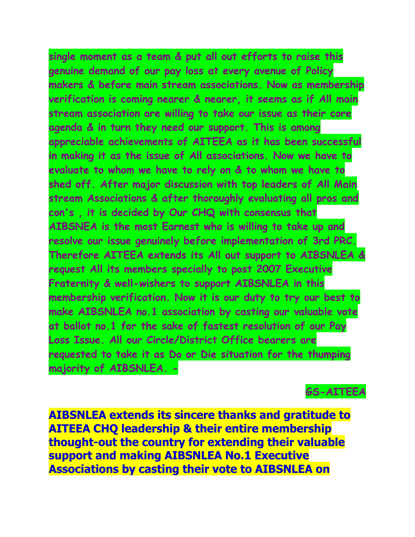**single moment as a team & put all out efforts to raise this genuine demand of our pay loss at every avenue of Policy makers & before main stream associations. Now as membership verification is coming nearer & nearer, it seems as if All main stream association are willing to take our issue as their core agenda & in turn they need our support. This is among appreciable achievements of AITEEA as it has been successful in making it as the issue of All associations. Now we have to evaluate to whom we have to rely on & to whom we have to shed off. After major discussion with top leaders of All Main stream Associations & after thoroughly evaluating all pros and con's , it is decided by Our CHQ with consensus that AIBSNEA is the most Earnest who is willing to take up and resolve our issue genuinely before implementation of 3rd PRC. Therefore AITEEA extends its All out support to AIBSNLEA & request All its members specially to post 2007 Executive Fraternity & well-wishers to support AIBSNLEA in this membership verification. Now it is our duty to try our best to make AIBSNLEA no.1 association by casting our valuable vote at ballot no.1 for the sake of fastest resolution of our Pay Loss Issue. All our Circle/District Office bearers are requested to take it as Do or Die situation for the thumping majority of AIBSNLEA. -** 

**GS-AITEEA**

**AIBSNLEA extends its sincere thanks and gratitude to AITEEA CHQ leadership & their entire membership thought-out the country for extending their valuable support and making AIBSNLEA No.1 Executive Associations by casting their vote to AIBSNLEA on**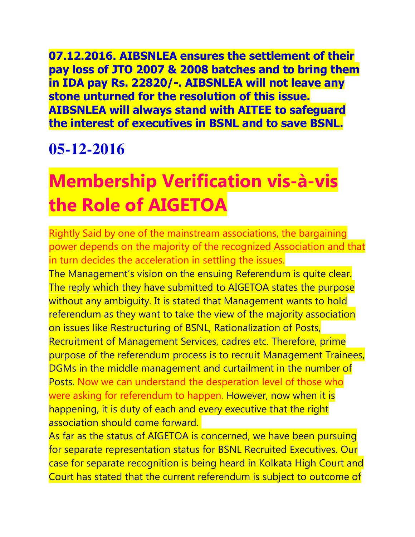**07.12.2016. AIBSNLEA ensures the settlement of their pay loss of JTO 2007 & 2008 batches and to bring them in IDA pay Rs. 22820/-. AIBSNLEA will not leave any stone unturned for the resolution of this issue. AIBSNLEA will always stand with AITEE to safeguard the interest of executives in BSNL and to save BSNL.**

#### **05-12-2016**

# **Membership Verification vis-à-vis the Role of AIGETOA**

Rightly Said by one of the mainstream associations, the bargaining power depends on the majority of the recognized Association and that in turn decides the acceleration in settling the issues.

The Management's vision on the ensuing Referendum is quite clear. The reply which they have submitted to AIGETOA states the purpose without any ambiguity. It is stated that Management wants to hold referendum as they want to take the view of the majority association on issues like Restructuring of BSNL, Rationalization of Posts, Recruitment of Management Services, cadres etc. Therefore, prime purpose of the referendum process is to recruit Management Trainees, DGMs in the middle management and curtailment in the number of Posts. Now we can understand the desperation level of those who were asking for referendum to happen. However, now when it is happening, it is duty of each and every executive that the right association should come forward.

As far as the status of AIGETOA is concerned, we have been pursuing for separate representation status for BSNL Recruited Executives. Our case for separate recognition is being heard in Kolkata High Court and Court has stated that the current referendum is subject to outcome of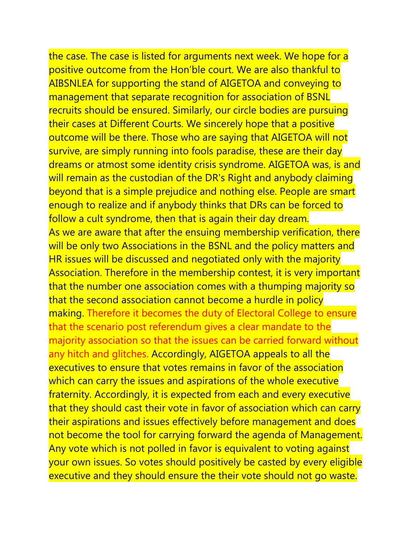the case. The case is listed for arguments next week. We hope for a positive outcome from the Hon'ble court. We are also thankful to AIBSNLEA for supporting the stand of AIGETOA and conveying to management that separate recognition for association of BSNL recruits should be ensured. Similarly, our circle bodies are pursuing their cases at Different Courts. We sincerely hope that a positive outcome will be there. Those who are saying that AIGETOA will not survive, are simply running into fools paradise, these are their day dreams or atmost some identity crisis syndrome. AIGETOA was, is and will remain as the custodian of the DR's Right and anybody claiming beyond that is a simple prejudice and nothing else. People are smart enough to realize and if anybody thinks that DRs can be forced to follow a cult syndrome, then that is again their day dream. As we are aware that after the ensuing membership verification, there will be only two Associations in the BSNL and the policy matters and HR issues will be discussed and negotiated only with the majority Association. Therefore in the membership contest, it is very important that the number one association comes with a thumping majority so that the second association cannot become a hurdle in policy making. Therefore it becomes the duty of Electoral College to ensure that the scenario post referendum gives a clear mandate to the majority association so that the issues can be carried forward without any hitch and glitches. Accordingly, AIGETOA appeals to all the executives to ensure that votes remains in favor of the association which can carry the issues and aspirations of the whole executive fraternity. Accordingly, it is expected from each and every executive that they should cast their vote in favor of association which can carry their aspirations and issues effectively before management and does not become the tool for carrying forward the agenda of Management. Any vote which is not polled in favor is equivalent to voting against your own issues. So votes should positively be casted by every eligible executive and they should ensure the their vote should not go waste.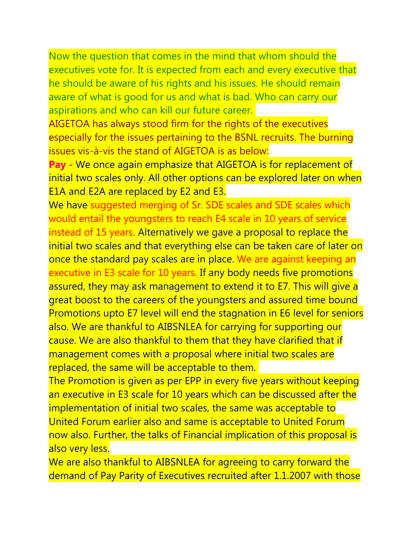Now the question that comes in the mind that whom should the executives vote for. It is expected from each and every executive that he should be aware of his rights and his issues. He should remain aware of what is good for us and what is bad. Who can carry our aspirations and who can kill our future career.

AIGETOA has always stood firm for the rights of the executives especially for the issues pertaining to the BSNL recruits. The burning issues vis-à-vis the stand of AIGETOA is as below:

**Pay -** We once again emphasize that AIGETOA is for replacement of initial two scales only. All other options can be explored later on when E1A and E2A are replaced by E2 and E3.

We have suggested merging of Sr. SDE scales and SDE scales which would entail the youngsters to reach E4 scale in 10 years of service instead of 15 years. Alternatively we gave a proposal to replace the initial two scales and that everything else can be taken care of later on once the standard pay scales are in place. We are against keeping an executive in E3 scale for 10 years. If any body needs five promotions assured, they may ask management to extend it to E7. This will give a great boost to the careers of the youngsters and assured time bound Promotions upto E7 level will end the stagnation in E6 level for seniors also. We are thankful to AIBSNLEA for carrying for supporting our cause. We are also thankful to them that they have clarified that if management comes with a proposal where initial two scales are replaced, the same will be acceptable to them.

The Promotion is given as per EPP in every five years without keeping an executive in E3 scale for 10 years which can be discussed after the implementation of initial two scales, the same was acceptable to United Forum earlier also and same is acceptable to United Forum now also. Further, the talks of Financial implication of this proposal is also very less.

We are also thankful to AIBSNLEA for agreeing to carry forward the demand of Pay Parity of Executives recruited after 1.1.2007 with those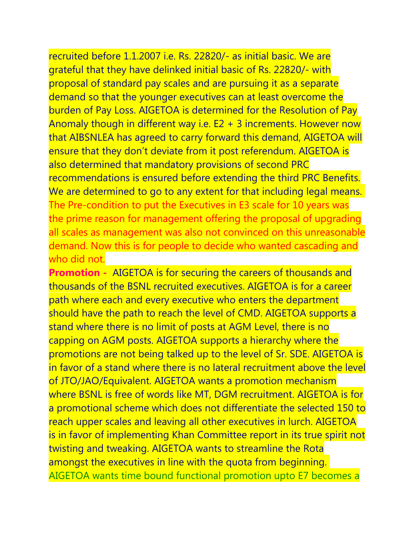recruited before 1.1.2007 i.e. Rs. 22820/- as initial basic. We are grateful that they have delinked initial basic of Rs. 22820/- with proposal of standard pay scales and are pursuing it as a separate demand so that the younger executives can at least overcome the burden of Pay Loss. AIGETOA is determined for the Resolution of Pay Anomaly though in different way i.e. E2 + 3 increments. However now that AIBSNLEA has agreed to carry forward this demand, AIGETOA will ensure that they don't deviate from it post referendum. AIGETOA is also determined that mandatory provisions of second PRC recommendations is ensured before extending the third PRC Benefits. We are determined to go to any extent for that including legal means. The Pre-condition to put the Executives in E3 scale for 10 years was the prime reason for management offering the proposal of upgrading all scales as management was also not convinced on this unreasonable demand. Now this is for people to decide who wanted cascading and who did not.

**Promotion -** AIGETOA is for securing the careers of thousands and thousands of the BSNL recruited executives. AIGETOA is for a career path where each and every executive who enters the department should have the path to reach the level of CMD. AIGETOA supports a stand where there is no limit of posts at AGM Level, there is no capping on AGM posts. AIGETOA supports a hierarchy where the promotions are not being talked up to the level of Sr. SDE. AIGETOA is in favor of a stand where there is no lateral recruitment above the level of JTO/JAO/Equivalent. AIGETOA wants a promotion mechanism where BSNL is free of words like MT, DGM recruitment. AIGETOA is for a promotional scheme which does not differentiate the selected 150 to reach upper scales and leaving all other executives in lurch. AIGETOA is in favor of implementing Khan Committee report in its true spirit not twisting and tweaking. AIGETOA wants to streamline the Rota amongst the executives in line with the quota from beginning. AIGETOA wants time bound functional promotion upto E7 becomes a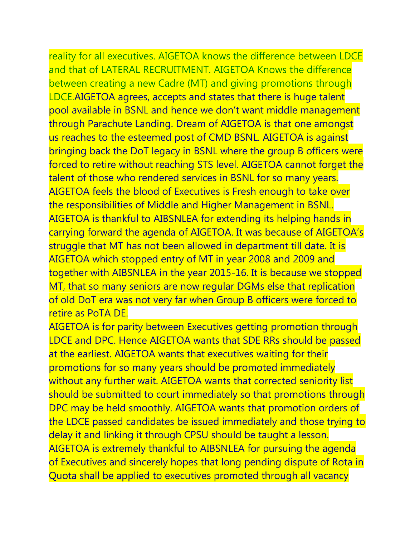reality for all executives. AIGETOA knows the difference between LDCE and that of LATERAL RECRUITMENT. AIGETOA Knows the difference between creating a new Cadre (MT) and giving promotions through LDCE.AIGETOA agrees, accepts and states that there is huge talent pool available in BSNL and hence we don't want middle management through Parachute Landing. Dream of AIGETOA is that one amongst us reaches to the esteemed post of CMD BSNL. AIGETOA is against bringing back the DoT legacy in BSNL where the group B officers were forced to retire without reaching STS level. AIGETOA cannot forget the talent of those who rendered services in BSNL for so many years. AIGETOA feels the blood of Executives is Fresh enough to take over the responsibilities of Middle and Higher Management in BSNL. AIGETOA is thankful to AIBSNLEA for extending its helping hands in carrying forward the agenda of AIGETOA. It was because of AIGETOA's struggle that MT has not been allowed in department till date. It is AIGETOA which stopped entry of MT in year 2008 and 2009 and together with AIBSNLEA in the year 2015-16. It is because we stopped MT, that so many seniors are now regular DGMs else that replication of old DoT era was not very far when Group B officers were forced to retire as PoTA DE.

AIGETOA is for parity between Executives getting promotion through LDCE and DPC. Hence AIGETOA wants that SDE RRs should be passed at the earliest. AIGETOA wants that executives waiting for their promotions for so many years should be promoted immediately without any further wait. AIGETOA wants that corrected seniority list should be submitted to court immediately so that promotions through DPC may be held smoothly. AIGETOA wants that promotion orders of the LDCE passed candidates be issued immediately and those trying to delay it and linking it through CPSU should be taught a lesson. AIGETOA is extremely thankful to AIBSNLEA for pursuing the agenda of Executives and sincerely hopes that long pending dispute of Rota in Quota shall be applied to executives promoted through all vacancy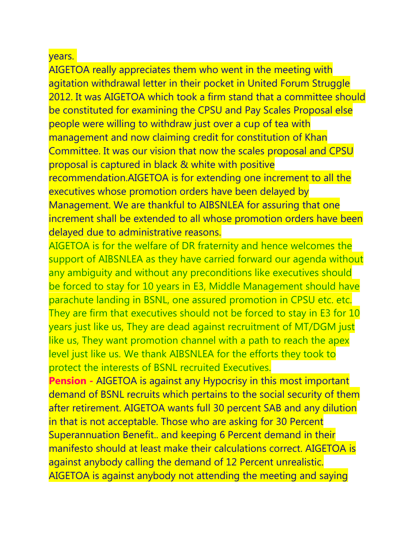#### years.

AIGETOA really appreciates them who went in the meeting with agitation withdrawal letter in their pocket in United Forum Struggle 2012. It was AIGETOA which took a firm stand that a committee should be constituted for examining the CPSU and Pay Scales Proposal else people were willing to withdraw just over a cup of tea with management and now claiming credit for constitution of Khan Committee. It was our vision that now the scales proposal and CPSU proposal is captured in black & white with positive recommendation.AIGETOA is for extending one increment to all the

executives whose promotion orders have been delayed by Management. We are thankful to AIBSNLEA for assuring that one increment shall be extended to all whose promotion orders have been delayed due to administrative reasons.

AIGETOA is for the welfare of DR fraternity and hence welcomes the support of AIBSNLEA as they have carried forward our agenda without any ambiguity and without any preconditions like executives should be forced to stay for 10 years in E3, Middle Management should have parachute landing in BSNL, one assured promotion in CPSU etc. etc. They are firm that executives should not be forced to stay in E3 for 10 years just like us, They are dead against recruitment of MT/DGM just like us, They want promotion channel with a path to reach the apex level just like us. We thank AIBSNLEA for the efforts they took to protect the interests of BSNL recruited Executives.

**Pension -** AIGETOA is against any Hypocrisy in this most important demand of BSNL recruits which pertains to the social security of them after retirement. AIGETOA wants full 30 percent SAB and any dilution in that is not acceptable. Those who are asking for 30 Percent Superannuation Benefit.. and keeping 6 Percent demand in their manifesto should at least make their calculations correct. AIGETOA is against anybody calling the demand of 12 Percent unrealistic. AIGETOA is against anybody not attending the meeting and saying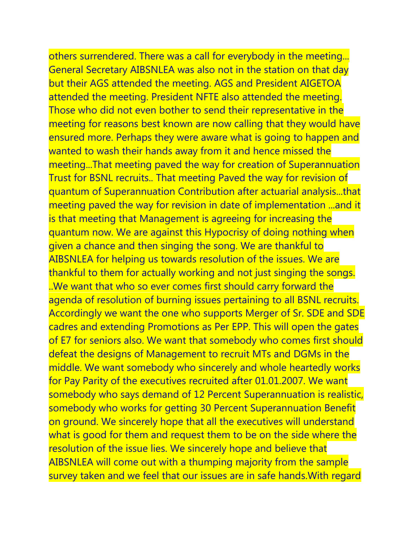others surrendered. There was a call for everybody in the meeting... General Secretary AIBSNLEA was also not in the station on that day but their AGS attended the meeting. AGS and President AIGETOA attended the meeting. President NFTE also attended the meeting. Those who did not even bother to send their representative in the meeting for reasons best known are now calling that they would have ensured more. Perhaps they were aware what is going to happen and wanted to wash their hands away from it and hence missed the meeting...That meeting paved the way for creation of Superannuation Trust for BSNL recruits.. That meeting Paved the way for revision of quantum of Superannuation Contribution after actuarial analysis...that meeting paved the way for revision in date of implementation ...and it is that meeting that Management is agreeing for increasing the quantum now. We are against this Hypocrisy of doing nothing when given a chance and then singing the song. We are thankful to AIBSNLEA for helping us towards resolution of the issues. We are thankful to them for actually working and not just singing the songs. ..We want that who so ever comes first should carry forward the agenda of resolution of burning issues pertaining to all BSNL recruits. Accordingly we want the one who supports Merger of Sr. SDE and SDE cadres and extending Promotions as Per EPP. This will open the gates of E7 for seniors also. We want that somebody who comes first should defeat the designs of Management to recruit MTs and DGMs in the middle. We want somebody who sincerely and whole heartedly works for Pay Parity of the executives recruited after 01.01.2007. We want somebody who says demand of 12 Percent Superannuation is realistic, somebody who works for getting 30 Percent Superannuation Benefit on ground. We sincerely hope that all the executives will understand what is good for them and request them to be on the side where the resolution of the issue lies. We sincerely hope and believe that AIBSNLEA will come out with a thumping majority from the sample survey taken and we feel that our issues are in safe hands.With regard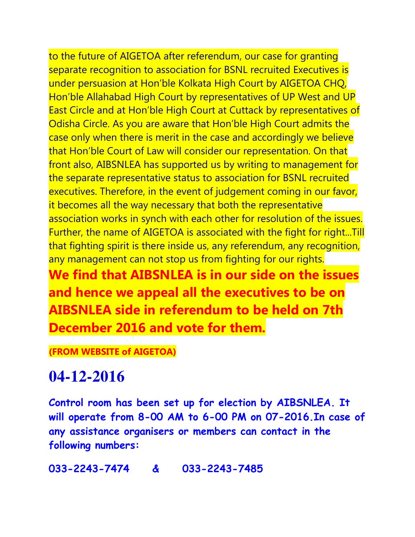to the future of AIGETOA after referendum, our case for granting separate recognition to association for BSNL recruited Executives is under persuasion at Hon'ble Kolkata High Court by AIGETOA CHQ, Hon'ble Allahabad High Court by representatives of UP West and UP East Circle and at Hon'ble High Court at Cuttack by representatives of Odisha Circle. As you are aware that Hon'ble High Court admits the case only when there is merit in the case and accordingly we believe that Hon'ble Court of Law will consider our representation. On that front also, AIBSNLEA has supported us by writing to management for the separate representative status to association for BSNL recruited executives. Therefore, in the event of judgement coming in our favor, it becomes all the way necessary that both the representative association works in synch with each other for resolution of the issues. Further, the name of AIGETOA is associated with the fight for right...Till that fighting spirit is there inside us, any referendum, any recognition, any management can not stop us from fighting for our rights. **We find that AIBSNLEA is in our side on the issues and hence we appeal all the executives to be on AIBSNLEA side in referendum to be held on 7th** 

**(FROM WEBSITE of AIGETOA)**

#### **04-12-2016**

**Control room has been set up for election by AIBSNLEA. It will operate from 8-00 AM to 6-00 PM on 07-2016.In case of any assistance organisers or members can contact in the following numbers:**

**033-2243-7474 & 033-2243-7485**

**December 2016 and vote for them.**